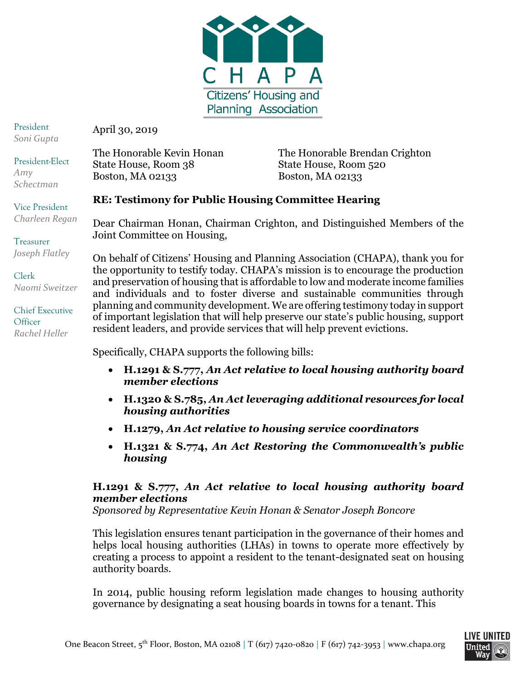

President *Soni Gupta*

President-Elect

Vice President *Charleen Regan*

Treasurer

*Amy Schectman* April 30, 2019

State House, Room 38 State House, Room 520 Boston, MA 02133 Boston, MA 02133

The Honorable Kevin Honan The Honorable Brendan Crighton

# **RE: Testimony for Public Housing Committee Hearing**

Dear Chairman Honan, Chairman Crighton, and Distinguished Members of the Joint Committee on Housing,

On behalf of Citizens' Housing and Planning Association (CHAPA), thank you for the opportunity to testify today. CHAPA's mission is to encourage the production and preservation of housing that is affordable to low and moderate income families and individuals and to foster diverse and sustainable communities through planning and community development. We are offering testimony today in support of important legislation that will help preserve our state's public housing, support resident leaders, and provide services that will help prevent evictions.

Specifically, CHAPA supports the following bills:

- **H.1291 & S.777,** *An Act relative to local housing authority board member elections*
- **H.1320 & S.785,** *An Act leveraging additional resources for local housing authorities*
- **H.1279,** *An Act relative to housing service coordinators*
- **H.1321 & S.774,** *An Act Restoring the Commonwealth's public housing*

### **H.1291 & S.777,** *An Act relative to local housing authority board member elections*

*Sponsored by Representative Kevin Honan & Senator Joseph Boncore*

This legislation ensures tenant participation in the governance of their homes and helps local housing authorities (LHAs) in towns to operate more effectively by creating a process to appoint a resident to the tenant-designated seat on housing authority boards.

In 2014, public housing reform legislation made changes to housing authority governance by designating a seat housing boards in towns for a tenant. This

*Joseph Flatley*

Clerk *Naomi Sweitzer*

Chief Executive **Officer** *Rachel Heller*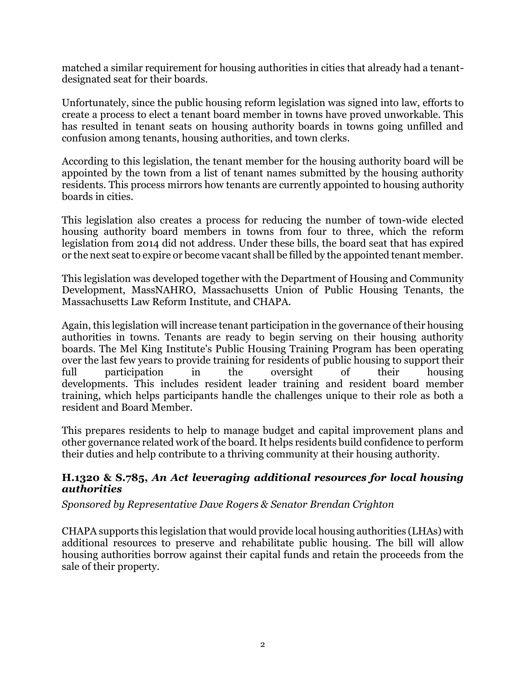matched a similar requirement for housing authorities in cities that already had a tenantdesignated seat for their boards.

Unfortunately, since the public housing reform legislation was signed into law, efforts to create a process to elect a tenant board member in towns have proved unworkable. This has resulted in tenant seats on housing authority boards in towns going unfilled and confusion among tenants, housing authorities, and town clerks.

According to this legislation, the tenant member for the housing authority board will be appointed by the town from a list of tenant names submitted by the housing authority residents. This process mirrors how tenants are currently appointed to housing authority boards in cities.

This legislation also creates a process for reducing the number of town-wide elected housing authority board members in towns from four to three, which the reform legislation from 2014 did not address. Under these bills, the board seat that has expired or the next seat to expire or become vacant shall be filled by the appointed tenant member.

This legislation was developed together with the Department of Housing and Community Development, MassNAHRO, Massachusetts Union of Public Housing Tenants, the Massachusetts Law Reform Institute, and CHAPA.

Again, this legislation will increase tenant participation in the governance of their housing authorities in towns. Tenants are ready to begin serving on their housing authority boards. The Mel King Institute's Public Housing Training Program has been operating over the last few years to provide training for residents of public housing to support their full participation in the oversight of their housing developments. This includes resident leader training and resident board member training, which helps participants handle the challenges unique to their role as both a resident and Board Member.

This prepares residents to help to manage budget and capital improvement plans and other governance related work of the board. It helps residents build confidence to perform their duties and help contribute to a thriving community at their housing authority.

#### **H.1320 & S.785,** *An Act leveraging additional resources for local housing authorities*

#### *Sponsored by Representative Dave Rogers & Senator Brendan Crighton*

CHAPA supports this legislation that would provide local housing authorities (LHAs) with additional resources to preserve and rehabilitate public housing. The bill will allow housing authorities borrow against their capital funds and retain the proceeds from the sale of their property.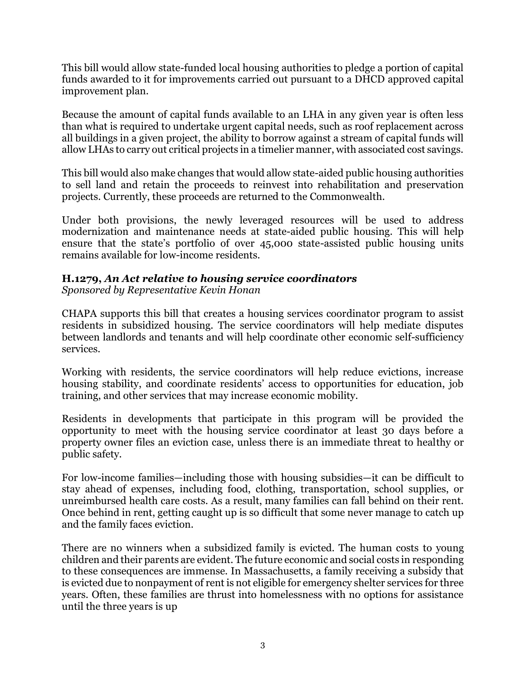This bill would allow state-funded local housing authorities to pledge a portion of capital funds awarded to it for improvements carried out pursuant to a DHCD approved capital improvement plan.

Because the amount of capital funds available to an LHA in any given year is often less than what is required to undertake urgent capital needs, such as roof replacement across all buildings in a given project, the ability to borrow against a stream of capital funds will allow LHAs to carry out critical projects in a timelier manner, with associated cost savings.

This bill would also make changes that would allow state-aided public housing authorities to sell land and retain the proceeds to reinvest into rehabilitation and preservation projects. Currently, these proceeds are returned to the Commonwealth.

Under both provisions, the newly leveraged resources will be used to address modernization and maintenance needs at state-aided public housing. This will help ensure that the state's portfolio of over 45,000 state-assisted public housing units remains available for low-income residents.

## **H.1279,** *An Act relative to housing service coordinators*

*Sponsored by Representative Kevin Honan*

CHAPA supports this bill that creates a housing services coordinator program to assist residents in subsidized housing. The service coordinators will help mediate disputes between landlords and tenants and will help coordinate other economic self-sufficiency services.

Working with residents, the service coordinators will help reduce evictions, increase housing stability, and coordinate residents' access to opportunities for education, job training, and other services that may increase economic mobility.

Residents in developments that participate in this program will be provided the opportunity to meet with the housing service coordinator at least 30 days before a property owner files an eviction case, unless there is an immediate threat to healthy or public safety.

For low-income families—including those with housing subsidies—it can be difficult to stay ahead of expenses, including food, clothing, transportation, school supplies, or unreimbursed health care costs. As a result, many families can fall behind on their rent. Once behind in rent, getting caught up is so difficult that some never manage to catch up and the family faces eviction.

There are no winners when a subsidized family is evicted. The human costs to young children and their parents are evident. The future economic and social costs in responding to these consequences are immense. In Massachusetts, a family receiving a subsidy that is evicted due to nonpayment of rent is not eligible for emergency shelter services for three years. Often, these families are thrust into homelessness with no options for assistance until the three years is up